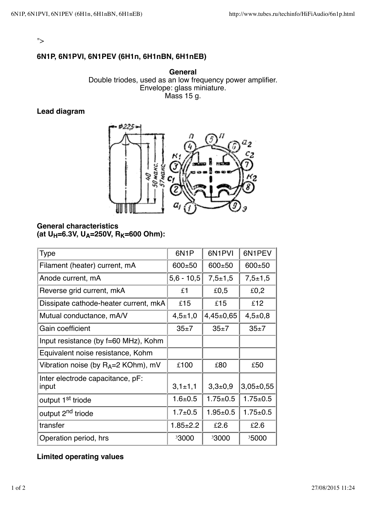">

### **6N1P, 6N1PVI, 6N1PEV (6H1n, 6H1nBN, 6H1nEB)**

**General** Double triodes, used as an low frequency power amplifier. Envelope: glass miniature. Mass 15 g.

#### **Lead diagram**



**General characteristics** (at U<sub>H</sub>=6.3V, U<sub>A</sub>=250V, R<sub>K</sub>=600 Ohm):

| <b>Type</b>                               | 6N <sub>1</sub> P | 6N1PVI         | 6N1PEV         |
|-------------------------------------------|-------------------|----------------|----------------|
| Filament (heater) current, mA             | $600+50$          | $600+50$       | $600+50$       |
| Anode current, mA                         | $5,6 - 10,5$      | $7,5+1,5$      | $7,5+1,5$      |
| Reverse grid current, mkA                 | £1                | £0,5           | £0,2           |
| Dissipate cathode-heater current, mkA     | £15               | £15            | £12            |
| Mutual conductance, mA/V                  | $4,5+1,0$         | $4,45\pm0,65$  | $4,5{\pm}0,8$  |
| Gain coefficient                          | $35\pm7$          | 35±7           | $35\pm7$       |
| Input resistance (by f=60 MHz), Kohm      |                   |                |                |
| Equivalent noise resistance, Kohm         |                   |                |                |
| Vibration noise (by $R_A = 2$ KOhm), mV   | £100              | £80            | £50            |
| Inter electrode capacitance, pF:<br>input | $3,1 \pm 1,1$     | $3,3+0,9$      | $3,05\pm0,55$  |
| output 1 <sup>st</sup> triode             | $1.6 + 0.5$       | $1.75 \pm 0.5$ | $1.75 \pm 0.5$ |
| output 2 <sup>nd</sup> triode             | $1.7 \pm 0.5$     | $1.95 + 0.5$   | $1.75 \pm 0.5$ |
| transfer                                  | $1.85 \pm 2.2$    | £2.6           | £2.6           |
| Operation period, hrs                     | 33000             | 33000          | 35000          |

## **Limited operating values**